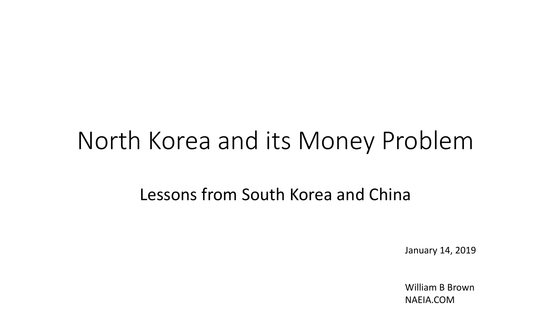# North Korea and its Money Problem

## Lessons from South Korea and China

January 14, 2019

William B Brown NAEIA.COM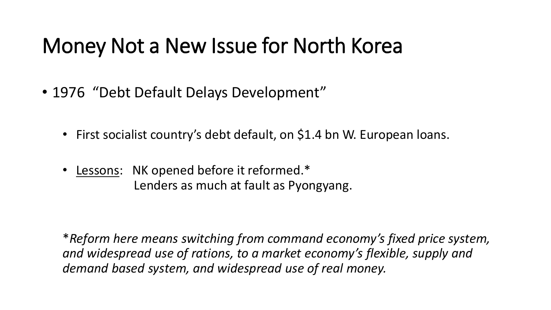# Money Not a New Issue for North Korea

- 1976 "Debt Default Delays Development"
	- First socialist country's debt default, on \$1.4 bn W. European loans.
	- Lessons: NK opened before it reformed.\* Lenders as much at fault as Pyongyang.

\**Reform here means switching from command economy's fixed price system, and widespread use of rations, to a market economy's flexible, supply and demand based system, and widespread use of real money.*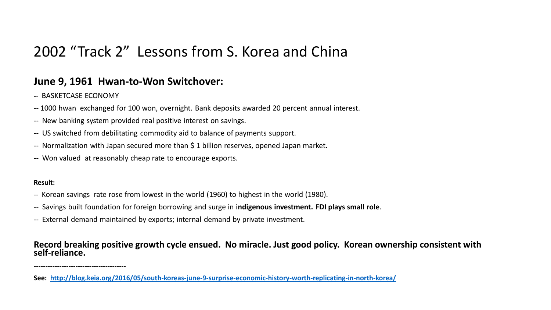## 2002 "Track 2" Lessons from S. Korea and China

#### **June 9, 1961 Hwan-to-Won Switchover:**

**-**- BASKETCASE ECONOMY

**----------------------------------------**

- -- 1000 hwan exchanged for 100 won, overnight. Bank deposits awarded 20 percent annual interest.
- -- New banking system provided real positive interest on savings.
- -- US switched from debilitating commodity aid to balance of payments support.
- -- Normalization with Japan secured more than \$ 1 billion reserves, opened Japan market.
- -- Won valued at reasonably cheap rate to encourage exports.

#### **Result:**

- -- Korean savings rate rose from lowest in the world (1960) to highest in the world (1980).
- -- Savings built foundation for foreign borrowing and surge in i**ndigenous investment. FDI plays small role**.
- -- External demand maintained by exports; internal demand by private investment.

#### **Record breaking positive growth cycle ensued. No miracle. Just good policy. Korean ownership consistent with self-reliance.**

**See: <http://blog.keia.org/2016/05/south-koreas-june-9-surprise-economic-history-worth-replicating-in-north-korea/>**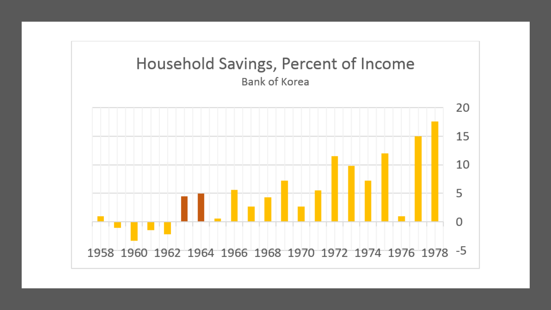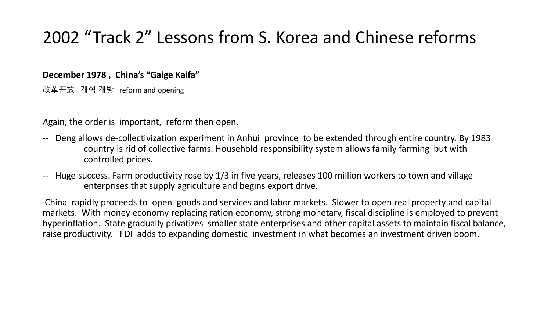## 2002 "Track 2" Lessons from S. Korea and Chinese reforms

#### **December 1978 , China's "Gaige Kaifa"**

改革开放 개혁 개방 reform and opening

*A*gain, the order is important, reform then open.

- -- Deng allows de-collectivization experiment in Anhui province to be extended through entire country. By 1983 country is rid of collective farms. Household responsibility system allows family farming but with controlled prices.
- -- Huge success. Farm productivity rose by 1/3 in five years, releases 100 million workers to town and village enterprises that supply agriculture and begins export drive.

China rapidly proceeds to open goods and services and labor markets. Slower to open real property and capital markets. With money economy replacing ration economy, strong monetary, fiscal discipline is employed to prevent hyperinflation. State gradually privatizes smaller state enterprises and other capital assets to maintain fiscal balance, raise productivity. FDI adds to expanding domestic investment in what becomes an investment driven boom.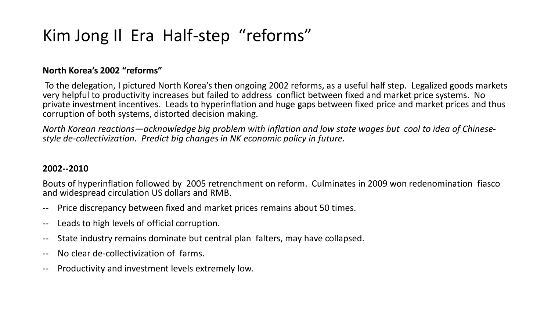## Kim Jong Il Era Half-step "reforms"

#### **North Korea's 2002 "reforms"**

To the delegation, I pictured North Korea's then ongoing 2002 reforms, as a useful half step. Legalized goods markets very helpful to productivity increases but failed to address conflict between fixed and market price systems. No private investment incentives. Leads to hyperinflation and huge gaps between fixed price and market prices and thus corruption of both systems, distorted decision making.

*North Korean reactions—acknowledge big problem with inflation and low state wages but cool to idea of Chinesestyle de-collectivization. Predict big changes in NK economic policy in future.*

#### **2002--2010**

Bouts of hyperinflation followed by 2005 retrenchment on reform. Culminates in 2009 won redenomination fiasco and widespread circulation US dollars and RMB.

- -- Price discrepancy between fixed and market prices remains about 50 times.
- -- Leads to high levels of official corruption.
- -- State industry remains dominate but central plan falters, may have collapsed.
- No clear de-collectivization of farms.
- -- Productivity and investment levels extremely low.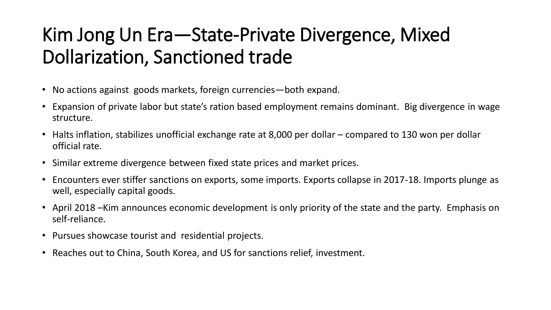# Kim Jong Un Era—State-Private Divergence, Mixed Dollarization, Sanctioned trade

- No actions against goods markets, foreign currencies—both expand.
- Expansion of private labor but state's ration based employment remains dominant. Big divergence in wage structure.
- Halts inflation, stabilizes unofficial exchange rate at 8,000 per dollar compared to 130 won per dollar official rate.
- Similar extreme divergence between fixed state prices and market prices.
- Encounters ever stiffer sanctions on exports, some imports. Exports collapse in 2017-18. Imports plunge as well, especially capital goods.
- April 2018 –Kim announces economic development is only priority of the state and the party. Emphasis on self-reliance.
- Pursues showcase tourist and residential projects.
- Reaches out to China, South Korea, and US for sanctions relief, investment.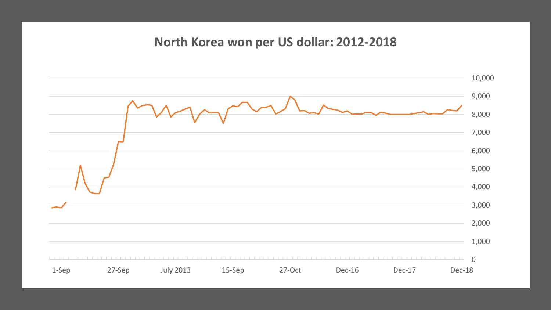#### **North Korea won per US dollar: 2012-2018**

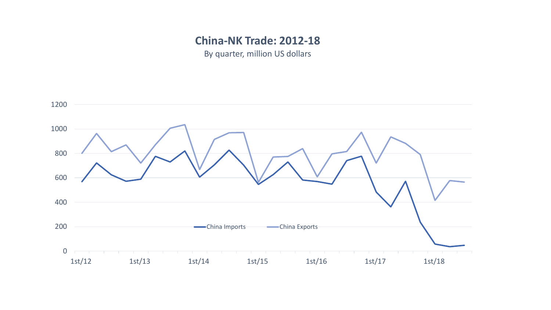#### **China-NK Trade: 2012-18**

By quarter, million US dollars

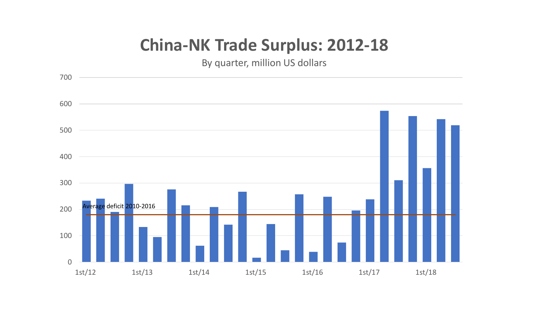## **China-NK Trade Surplus: 2012-18**

By quarter, million US dollars

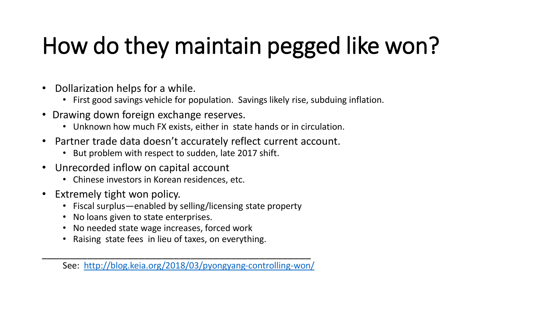# How do they maintain pegged like won?

- Dollarization helps for a while.
	- First good savings vehicle for population. Savings likely rise, subduing inflation.
- Drawing down foreign exchange reserves.
	- Unknown how much FX exists, either in state hands or in circulation.
- Partner trade data doesn't accurately reflect current account.
	- But problem with respect to sudden, late 2017 shift.
- Unrecorded inflow on capital account
	- Chinese investors in Korean residences, etc.
- Extremely tight won policy.
	- Fiscal surplus—enabled by selling/licensing state property
	- No loans given to state enterprises.
	- No needed state wage increases, forced work
	- Raising state fees in lieu of taxes, on everything.

See: <http://blog.keia.org/2018/03/pyongyang-controlling-won/>

\_\_\_\_\_\_\_\_\_\_\_\_\_\_\_\_\_\_\_\_\_\_\_\_\_\_\_\_\_\_\_\_\_\_\_\_\_\_\_\_\_\_\_\_\_\_\_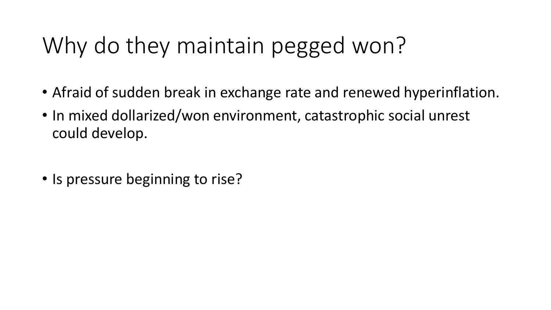# Why do they maintain pegged won?

- Afraid of sudden break in exchange rate and renewed hyperinflation.
- In mixed dollarized/won environment, catastrophic social unrest could develop.
- Is pressure beginning to rise?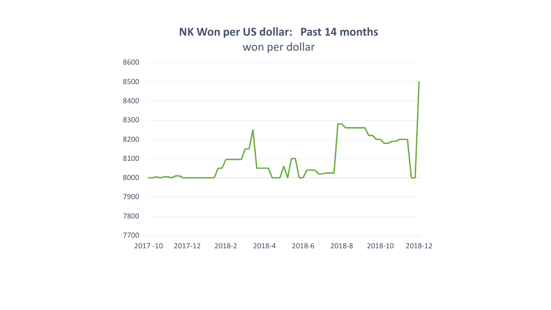### **NK Won per US dollar: Past 14 months**

won per dollar

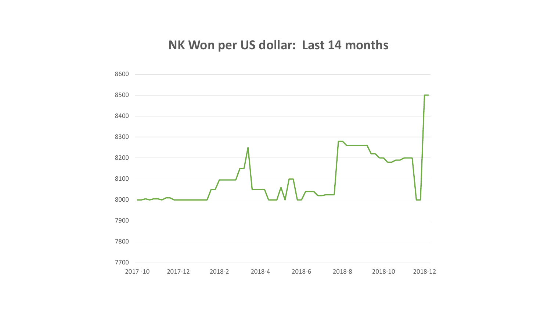### **NK Won per US dollar: Last 14 months**

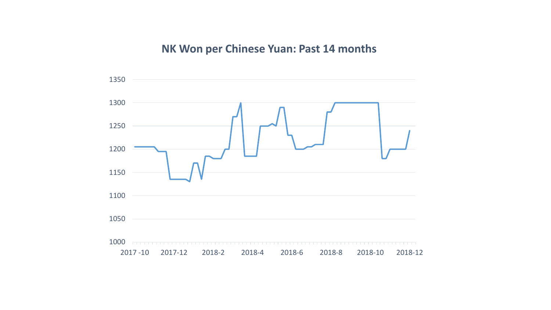#### **NK Won per Chinese Yuan: Past 14 months**

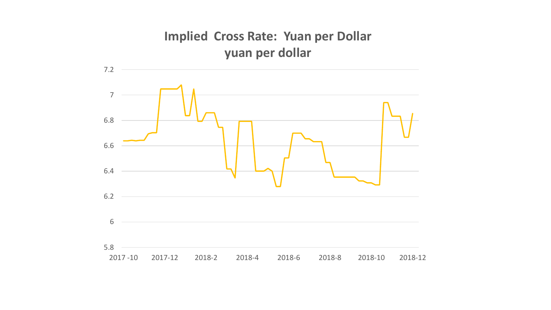## **Implied Cross Rate: Yuan per Dollar yuan per dollar**

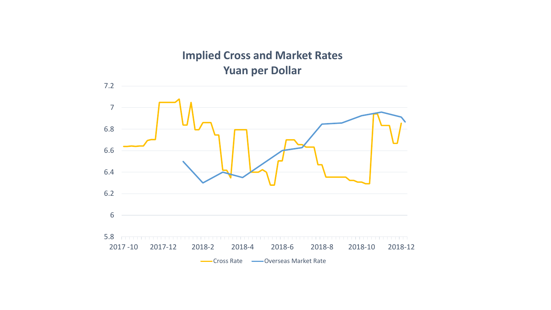### **Implied Cross and Market Rates Yuan per Dollar**